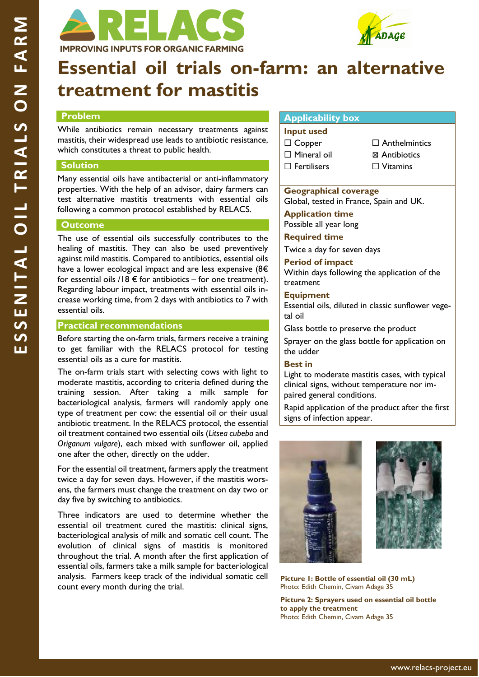



# **Essential oil trials on-farm: an alternative treatment for mastitis**

# **Problem**

While antibiotics remain necessary treatments against mastitis, their widespread use leads to antibiotic resistance, which constitutes a threat to public health.

# **Solution**

Many essential oils have antibacterial or anti-inflammatory properties. With the help of an advisor, dairy farmers can test alternative mastitis treatments with essential oils following a common protocol established by RELACS.

# **Outcome**

The use of essential oils successfully contributes to the healing of mastitis. They can also be used preventively against mild mastitis. Compared to antibiotics, essential oils have a lower ecological impact and are less expensive (8€ for essential oils /18  $\epsilon$  for antibiotics – for one treatment). Regarding labour impact, treatments with essential oils increase working time, from 2 days with antibiotics to 7 with essential oils.

#### **Practical recommendations**

Before starting the on-farm trials, farmers receive a training to get familiar with the RELACS protocol for testing essential oils as a cure for mastitis.

The on-farm trials start with selecting cows with light to moderate mastitis, according to criteria defined during the training session. After taking a milk sample for bacteriological analysis, farmers will randomly apply one type of treatment per cow: the essential oil or their usual antibiotic treatment. In the RELACS protocol, the essential oil treatment contained two essential oils (*Litsea cubeba* and *Origanum vulgare*), each mixed with sunflower oil, applied one after the other, directly on the udder.

For the essential oil treatment, farmers apply the treatment twice a day for seven days. However, if the mastitis worsens, the farmers must change the treatment on day two or day five by switching to antibiotics.

Three indicators are used to determine whether the essential oil treatment cured the mastitis: clinical signs, bacteriological analysis of milk and somatic cell count. The evolution of clinical signs of mastitis is monitored throughout the trial. A month after the first application of essential oils, farmers take a milk sample for bacteriological analysis. Farmers keep track of the individual somatic cell count every month during the trial.

# **Applicability box**

**Input used** ☐ Copper □ Mineral oil ☐ Fertilisers

- □ Anthelmintics
- ⊠ Antibiotics
	- □ Vitamins

#### **Geographical coverage**

Global, tested in France, Spain and UK.

**Application time** Possible all year long

**Required time**

Twice a day for seven days

**Period of impact** Within days following the application of the treatment

#### **Equipment**

Essential oils, diluted in classic sunflower vegetal oil

Glass bottle to preserve the product

Sprayer on the glass bottle for application on the udder

# **Best in**

Light to moderate mastitis cases, with typical clinical signs, without temperature nor impaired general conditions.

Rapid application of the product after the first signs of infection appear.





**Picture 1: Bottle of essential oil (30 mL)**  Photo: Edith Chemin, Civam Adage 35

**Picture 2: Sprayers used on essential oil bottle to apply the treatment** Photo: Edith Chemin, Civam Adage 35